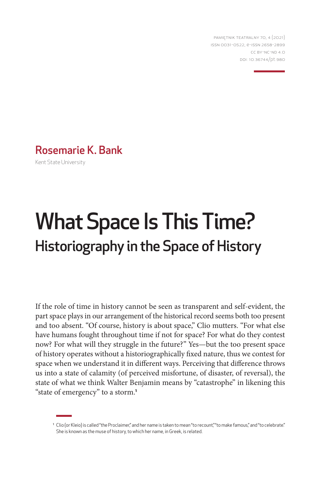PAMIĘTNIK TEATRALNY 70, 4 (2021) ISSN 0031-0522, e-ISSN 2658-2899 CC BY-NC-ND 4.0 DOI: 10.36744/pt.980

Rosemarie K. Bank

Kent State University

# What Space Is This Time? Historiography in the Space of History

If the role of time in history cannot be seen as transparent and self-evident, the part space plays in our arrangement of the historical record seems both too present and too absent. "Of course, history is about space," Clio mutters. "For what else have humans fought throughout time if not for space? For what do they contest now? For what will they struggle in the future?" Yes—but the too present space of history operates without a historiographically fixed nature, thus we contest for space when we understand it in different ways. Perceiving that difference throws us into a state of calamity (of perceived misfortune, of disaster, of reversal), the state of what we think Walter Benjamin means by "catastrophe" in likening this "state of emergency" to a storm.**<sup>1</sup>**

<sup>&</sup>lt;sup>1</sup> Clio (or Kleio) is called "the Proclaimer," and her name is taken to mean "to recount," "to make famous," and "to celebrate." She is known as the muse of history, to which her name, in Greek, is related.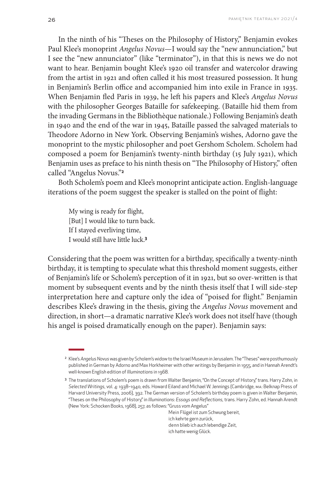In the ninth of his "Theses on the Philosophy of History," Benjamin evokes Paul Klee's monoprint *Angelus Novus*—I would say the "new annunciation," but I see the "new annunciator" (like "terminator"), in that this is news we do not want to hear. Benjamin bought Klee's 1920 oil transfer and watercolor drawing from the artist in 1921 and often called it his most treasured possession. It hung in Benjamin's Berlin office and accompanied him into exile in France in 1935. When Benjamin fled Paris in 1939, he left his papers and Klee's *Angelus Novus* with the philosopher Georges Bataille for safekeeping. (Bataille hid them from the invading Germans in the Bibliothèque nationale.) Following Benjamin's death in 1940 and the end of the war in 1945, Bataille passed the salvaged materials to Theodore Adorno in New York. Observing Benjamin's wishes, Adorno gave the monoprint to the mystic philosopher and poet Gershom Scholem. Scholem had composed a poem for Benjamin's twenty-ninth birthday (15 July 1921), which Benjamin uses as preface to his ninth thesis on "The Philosophy of History," often called "Angelus Novus."**<sup>2</sup>**

Both Scholem's poem and Klee's monoprint anticipate action. English-language iterations of the poem suggest the speaker is stalled on the point of flight:

My wing is ready for flight, [But] I would like to turn back. If I stayed everliving time, I would still have little luck.**<sup>3</sup>**

Considering that the poem was written for a birthday, specifically a twenty-ninth birthday, it is tempting to speculate what this threshold moment suggests, either of Benjamin's life or Scholem's perception of it in 1921, but so over-written is that moment by subsequent events and by the ninth thesis itself that I will side-step interpretation here and capture only the idea of "poised for flight." Benjamin describes Klee's drawing in the thesis, giving the *Angelus Novus* movement and direction, in short—a dramatic narrative Klee's work does not itself have (though his angel is poised dramatically enough on the paper). Benjamin says:

Mein Flügel ist zum Schwung bereit, ich kehrte gern zurück, denn blieb ich auch lebendige Zeit, ich hatte wenig Glück.

<sup>2</sup> Klee's *Angelus Novus* was given by Scholem's widow to the Israel Museum in Jerusalem. The "Theses" were posthumously published in German by Adorno and Max Horkheimer with other writings by Benjamin in 1955, and in Hannah Arendt's well-known English edition of *Illuminations* in 1968.

<sup>3</sup> The translations of Scholem's poem is drawn from Walter Benjamin, "On the Concept of History," trans. Harry Zohn, in *Selected Writings*, vol. 4: 1938–1940, eds. Howard Eiland and Michael W. Jennings (Cambridge, MA: Belknap Press of Harvard University Press, 2006), 392. The German version of Scholem's birthday poem is given in Walter Benjamin, "Theses on the Philosophy of History," in *Illuminations*: *Essays and Reflections,* trans. Harry Zohn, ed. Hannah Arendt (New York: Schocken Books, 1968), 257*,* as follows: "Gruss vom Angelus"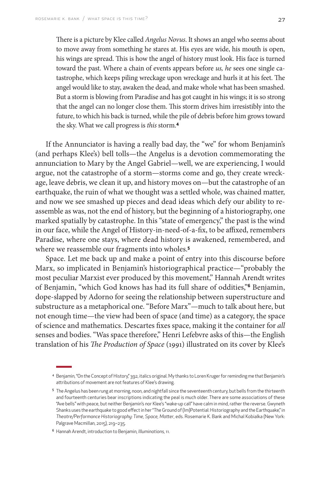There is a picture by Klee called *Angelus Novus*. It shows an angel who seems about to move away from something he stares at. His eyes are wide, his mouth is open, his wings are spread. This is how the angel of history must look. His face is turned toward the past. Where a chain of events appears before *us, he* sees one single catastrophe, which keeps piling wreckage upon wreckage and hurls it at his feet. The angel would like to stay, awaken the dead, and make whole what has been smashed. But a storm is blowing from Paradise and has got caught in his wings; it is so strong that the angel can no longer close them. This storm drives him irresistibly into the future, to which his back is turned, while the pile of debris before him grows toward the sky. What we call progress is *this* storm.**<sup>4</sup>**

If the Annunciator is having a really bad day, the "we" for whom Benjamin's (and perhaps Klee's) bell tolls—the Angelus is a devotion commemorating the annunciation to Mary by the Angel Gabriel—well, we are experiencing, I would argue, not the catastrophe of a storm—storms come and go, they create wreckage, leave debris, we clean it up, and history moves on—but the catastrophe of an earthquake, the ruin of what we thought was a settled whole, was chained matter, and now we see smashed up pieces and dead ideas which defy our ability to reassemble as was, not the end of history, but the beginning of a historiography, one marked spatially by catastrophe. In this "state of emergency," the past is the wind in our face, while the Angel of History-in-need-of-a-fix, to be affixed, remembers Paradise, where one stays, where dead history is awakened, remembered, and where we reassemble our fragments into wholes.**<sup>5</sup>**

Space. Let me back up and make a point of entry into this discourse before Marx, so implicated in Benjamin's historiographical practice—"probably the most peculiar Marxist ever produced by this movement," Hannah Arendt writes of Benjamin, "which God knows has had its full share of oddities,"**6** Benjamin, dope-slapped by Adorno for seeing the relationship between superstructure and substructure as a metaphorical one. "Before Marx"—much to talk about here, but not enough time—the view had been of space (and time) as a category, the space of science and mathematics. Descartes fixes space, making it the container for *all* senses and bodies. "Was space therefore," Henri Lefebvre asks of this—the English translation of his *The Production of Space* (1991) illustrated on its cover by Klee's

<sup>4</sup> Benjamin, "On the Concept of History," 392, italics original. My thanks to Loren Kruger for reminding me that Benjamin's attributions of movement are not features of Klee's drawing.

<sup>5</sup> The Angelus has been rung at morning, noon, and nightfall since the seventeenth century, but bells from the thirteenth and fourteenth centuries bear inscriptions indicating the peal is much older. There are some associations of these "Ave bells" with peace, but neither Benjamin's nor Klee's "wake-up call" have calm in mind, rather the reverse. Gwyneth Shanks uses the earthquake to good effect in her "The Ground of (Im)Potential: Historiography and the Earthquake," in *Theatre/Performance Historiography: Time, Space, Matter*, eds. Rosemarie K. Bank and Michal Kobialka (New York: Palgrave Macmillan, 2015), 219–235.

<sup>6</sup> Hannah Arendt, introduction to Benjamin, *Illuminations,* 11.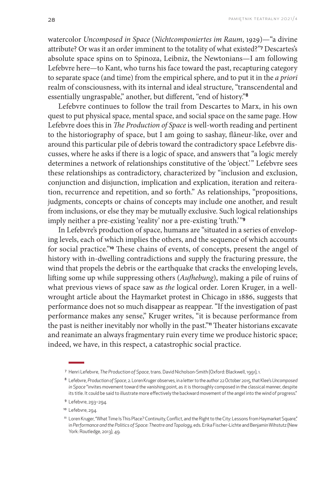watercolor *Uncomposed in Space* (*Nichtcomponiertes im Raum*, 1929)—"a divine attribute? Or was it an order imminent to the totality of what existed?"**<sup>7</sup>** Descartes's absolute space spins on to Spinoza, Leibniz, the Newtonians—I am following Lefebvre here—to Kant, who turns his face toward the past, recapturing category to separate space (and time) from the empirical sphere, and to put it in the *a priori* realm of consciousness, with its internal and ideal structure, "transcendental and essentially ungraspable," another, but different, "end of history."**<sup>8</sup>**

Lefebvre continues to follow the trail from Descartes to Marx, in his own quest to put physical space, mental space, and social space on the same page. How Lefebvre does this in *The Production of Space* is well-worth reading and pertinent to the historiography of space, but I am going to sashay, flâneur-like, over and around this particular pile of debris toward the contradictory space Lefebvre discusses, where he asks if there is a logic of space, and answers that "a logic merely determines a network of relationships constitutive of the 'object.'" Lefebvre sees these relationships as contradictory, characterized by "inclusion and exclusion, conjunction and disjunction, implication and explication, iteration and reiteration, recurrence and repetition, and so forth." As relationships, "propositions, judgments, concepts or chains of concepts may include one another, and result from inclusions, or else they may be mutually exclusive. Such logical relationships imply neither a pre-existing 'reality' nor a pre-existing 'truth.'"**<sup>9</sup>**

In Lefebvre's production of space, humans are "situated in a series of enveloping levels, each of which implies the others, and the sequence of which accounts for social practice."**10** These chains of events, of concepts, present the angel of history with in-dwelling contradictions and supply the fracturing pressure, the wind that propels the debris or the earthquake that cracks the enveloping levels, lifting some up while suppressing others (*Aufhebung*), making a pile of ruins of what previous views of space saw as *the* logical order. Loren Kruger, in a wellwrought article about the Haymarket protest in Chicago in 1886, suggests that performance does not so much disappear as reappear. "If the investigation of past performance makes any sense," Kruger writes, "it is because performance from the past is neither inevitably nor wholly in the past."**11** Theater historians excavate and reanimate an always fragmentary ruin every time we produce historic space; indeed, we have, in this respect, a catastrophic social practice.

<sup>7</sup> Henri Lefebvre, *The Production of Space*, trans. David Nicholson-Smith (Oxford: Blackwell, 1991), 1.

<sup>8</sup> Lefebvre, *Production of Space*, 2. Loren Kruger observes, in a letter to the author 22 October 2015, that Klee's *Uncomposed in Space* "invites movement toward the vanishing point, as it is thoroughly composed in the classical manner, despite its title. It could be said to illustrate more effectively the backward movement of the angel into the wind of progress."

<sup>9</sup> Lefebvre, 293–294.

<sup>&</sup>lt;sup>10</sup> Lefebvre, 294.

<sup>&</sup>lt;sup>11</sup> Loren Kruger, "What Time Is This Place? Continuity, Conflict, and the Right to the City: Lessons from Haymarket Square," in *Performance and the Politics of Space: Theatre and Topology,* eds. Erika Fischer-Lichte and Benjamin Wihstutz (New York: Routledge, 2013), 49.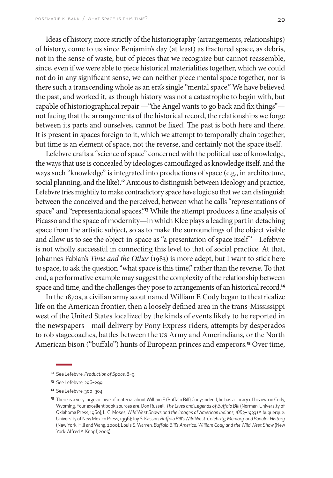Ideas of history, more strictly of the historiography (arrangements, relationships) of history, come to us since Benjamin's day (at least) as fractured space, as debris, not in the sense of waste, but of pieces that we recognize but cannot reassemble, since, even if we were able to piece historical materialities together, which we could not do in any significant sense, we can neither piece mental space together, nor is there such a transcending whole as an era's single "mental space." We have believed the past, and worked it, as though history was not a catastrophe to begin with, but capable of historiographical repair —"the Angel wants to go back and fix things" not facing that the arrangements of the historical record, the relationships we forge between its parts and ourselves, cannot be fixed. The past is both here and there. It is present in spaces foreign to it, which we attempt to temporally chain together, but time is an element of space, not the reverse, and certainly not the space itself.

Lefebvre crafts a "science of space" concerned with the political use of knowledge, the ways that use is concealed by ideologies camouflaged as knowledge itself, and the ways such "knowledge" is integrated into productions of space (e.g., in architecture, social planning, and the like).**12** Anxious to distinguish between ideology and practice, Lefebvre tries mightily to make contradictory space have logic so that we can distinguish between the conceived and the perceived, between what he calls "representations of space" and "representational spaces."**13** While the attempt produces a fine analysis of Picasso and the space of modernity—in which Klee plays a leading part in detaching space from the artistic subject, so as to make the surroundings of the object visible and allow us to see the object-in-space as "a presentation of space itself"—Lefebvre is not wholly successful in connecting this level to that of social practice. At that, Johannes Fabian's *Time and the Other* (1983) is more adept, but I want to stick here to space, to ask the question "what space is this time," rather than the reverse. To that end, a performative example may suggest the complexity of the relationship between space and time, and the challenges they pose to arrangements of an historical record.**<sup>14</sup>**

In the 1870s, a civilian army scout named William F. Cody began to theatricalize life on the American frontier, then a loosely defined area in the trans-Mississippi west of the United States localized by the kinds of events likely to be reported in the newspapers—mail delivery by Pony Express riders, attempts by desperados to rob stagecoaches, battles between the US Army and Amerindians, or the North American bison ("buffalo") hunts of European princes and emperors.**15** Over time,

<sup>12</sup> See Lefebvre, *Production of Space*, 8–9.

<sup>13</sup> See Lefebvre, 296-299.

<sup>14</sup> See Lefebvre, 300–304.

<sup>&</sup>lt;sup>15</sup> There is a very large archive of material about William F. (Buffalo Bill) Cody; indeed, he has a library of his own in Cody, Wyoming. Four excellent book sources are: Don Russell, *The Lives and Legends of Buffalo Bill* (Norman: University of Oklahoma Press, 1960); L. G. Moses, *Wild West Shows and the Images of American Indians, 1883–1933* (Albuquerque: University of New Mexico Press, 1996); Joy S. Kasson, *Buffalo Bill's Wild West: Celebrity, Memory, and Popular History* (New York: Hill and Wang, 2000); Louis S. Warren, *Buffalo Bill's America: William Cody and the Wild West Show* (New York: Alfred A. Knopf, 2005).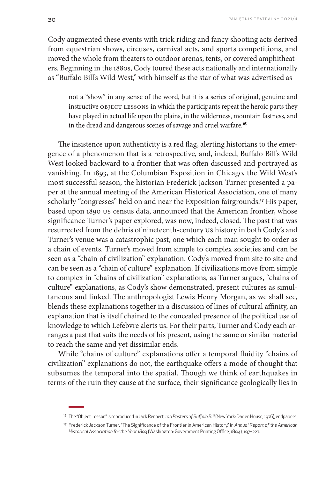Cody augmented these events with trick riding and fancy shooting acts derived from equestrian shows, circuses, carnival acts, and sports competitions, and moved the whole from theaters to outdoor arenas, tents, or covered amphitheaters. Beginning in the 1880s, Cody toured these acts nationally and internationally as "Buffalo Bill's Wild West," with himself as the star of what was advertised as

not a "show" in any sense of the word, but it is a series of original, genuine and instructive OBJECT LESSONS in which the participants repeat the heroic parts they have played in actual life upon the plains, in the wilderness, mountain fastness, and in the dread and dangerous scenes of savage and cruel warfare.**<sup>16</sup>**

The insistence upon authenticity is a red flag, alerting historians to the emergence of a phenomenon that is a retrospective, and, indeed, Buffalo Bill's Wild West looked backward to a frontier that was often discussed and portrayed as vanishing. In 1893, at the Columbian Exposition in Chicago, the Wild West's most successful season, the historian Frederick Jackson Turner presented a paper at the annual meeting of the American Historical Association, one of many scholarly "congresses" held on and near the Exposition fairgrounds.**17** His paper, based upon 1890 US census data, announced that the American frontier, whose significance Turner's paper explored, was now, indeed, closed. The past that was resurrected from the debris of nineteenth-century US history in both Cody's and Turner's venue was a catastrophic past, one which each man sought to order as a chain of events. Turner's moved from simple to complex societies and can be seen as a "chain of civilization" explanation. Cody's moved from site to site and can be seen as a "chain of culture" explanation. If civilizations move from simple to complex in "chains of civilization" explanations, as Turner argues, "chains of culture" explanations, as Cody's show demonstrated, present cultures as simultaneous and linked. The anthropologist Lewis Henry Morgan, as we shall see, blends these explanations together in a discussion of lines of cultural affinity, an explanation that is itself chained to the concealed presence of the political use of knowledge to which Lefebvre alerts us. For their parts, Turner and Cody each arranges a past that suits the needs of his present, using the same or similar material to reach the same and yet dissimilar ends.

While "chains of culture" explanations offer a temporal fluidity "chains of civilization" explanations do not, the earthquake offers a mode of thought that subsumes the temporal into the spatial. Though we think of earthquakes in terms of the ruin they cause at the surface, their significance geologically lies in

<sup>16</sup> The "Object Lesson" is reproduced in Jack Rennert, *100 Posters of Buffalo Bill* (New York: Darien House, 1976), endpapers.

<sup>17</sup> Frederick Jackson Turner, "The Significance of the Frontier in American History," in *Annual Report of the American Historical Association for the Year 1893* (Washington: Government Printing Office, 1894), 197–227.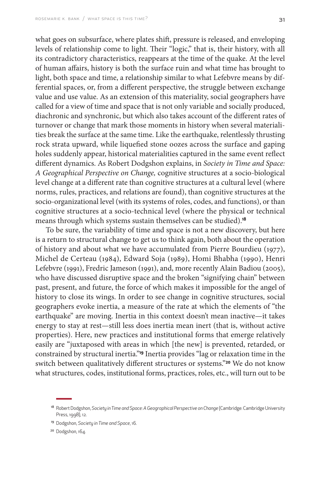what goes on subsurface, where plates shift, pressure is released, and enveloping levels of relationship come to light. Their "logic," that is, their history, with all its contradictory characteristics, reappears at the time of the quake. At the level of human affairs, history is both the surface ruin and what time has brought to light, both space and time, a relationship similar to what Lefebvre means by differential spaces, or, from a different perspective, the struggle between exchange value and use value. As an extension of this materiality, social geographers have called for a view of time and space that is not only variable and socially produced, diachronic and synchronic, but which also takes account of the different rates of turnover or change that mark those moments in history when several materiali-

ties break the surface at the same time. Like the earthquake, relentlessly thrusting rock strata upward, while liquefied stone oozes across the surface and gaping holes suddenly appear, historical materialities captured in the same event reflect different dynamics. As Robert Dodgshon explains, in *Society in Time and Space: A Geographical Perspective on Change,* cognitive structures at a socio-biological level change at a different rate than cognitive structures at a cultural level (where norms, rules, practices, and relations are found), than cognitive structures at the socio-organizational level (with its systems of roles, codes, and functions), or than cognitive structures at a socio-technical level (where the physical or technical means through which systems sustain themselves can be studied).**<sup>18</sup>**

To be sure, the variability of time and space is not a new discovery, but here is a return to structural change to get us to think again, both about the operation of history and about what we have accumulated from Pierre Bourdieu (1977), Michel de Certeau (1984), Edward Soja (1989), Homi Bhabha (1990), Henri Lefebvre (1991), Fredric Jameson (1991), and, more recently Alain Badiou (2005), who have discussed disruptive space and the broken "signifying chain" between past, present, and future, the force of which makes it impossible for the angel of history to close its wings. In order to see change in cognitive structures, social geographers evoke inertia, a measure of the rate at which the elements of "the earthquake" are moving. Inertia in this context doesn't mean inactive—it takes energy to stay at rest—still less does inertia mean inert (that is, without active properties). Here, new practices and institutional forms that emerge relatively easily are "juxtaposed with areas in which [the new] is prevented, retarded, or constrained by structural inertia."**19** Inertia provides "lag or relaxation time in the switch between qualitatively different structures or systems."**20** We do not know what structures, codes, institutional forms, practices, roles, etc., will turn out to be

<sup>18</sup> Robert Dodgshon, *Society in Time and Space: A Geographical Perspective on Change* (Cambridge: Cambridge University Press, 1998), 12.

<sup>19</sup> Dodgshon, *Society in Time and Space*, 16.

<sup>&</sup>lt;sup>20</sup> Dodgshon, 164.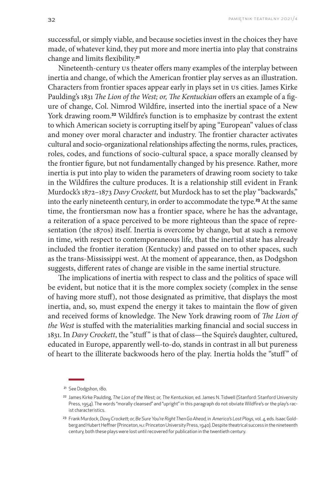successful, or simply viable, and because societies invest in the choices they have made, of whatever kind, they put more and more inertia into play that constrains change and limits flexibility.**<sup>21</sup>**

Nineteenth-century US theater offers many examples of the interplay between inertia and change, of which the American frontier play serves as an illustration. Characters from frontier spaces appear early in plays set in US cities. James Kirke Paulding's 1831 *The Lion of the West; or, The Kentuckian* offers an example of a figure of change, Col. Nimrod Wildfire, inserted into the inertial space of a New York drawing room.**22** Wildfire's function is to emphasize by contrast the extent to which American society is corrupting itself by aping "European" values of class and money over moral character and industry. The frontier character activates cultural and socio-organizational relationships affecting the norms, rules, practices, roles, codes, and functions of socio-cultural space, a space morally cleansed by the frontier figure, but not fundamentally changed by his presence. Rather, more inertia is put into play to widen the parameters of drawing room society to take in the Wildfires the culture produces. It is a relationship still evident in Frank Murdock's 1872–1873 *Davy Crockett,* but Murdock has to set the play "backwards," into the early nineteenth century, in order to accommodate the type.**23** At the same time, the frontiersman now has a frontier space, where he has the advantage, a reiteration of a space perceived to be more righteous than the space of representation (the 1870s) itself. Inertia is overcome by change, but at such a remove in time, with respect to contemporaneous life, that the inertial state has already included the frontier iteration (Kentucky) and passed on to other spaces, such as the trans-Mississippi west. At the moment of appearance, then, as Dodgshon suggests, different rates of change are visible in the same inertial structure.

The implications of inertia with respect to class and the politics of space will be evident, but notice that it is the more complex society (complex in the sense of having more stuff), not those designated as primitive, that displays the most inertia, and, so, must expend the energy it takes to maintain the flow of given and received forms of knowledge. The New York drawing room of *The Lion of the West* is stuffed with the materialities marking financial and social success in 1831. In *Davy Crockett*, the "stuff" is that of class—the Squire's daughter, cultured, educated in Europe, apparently well-to-do, stands in contrast in all but pureness of heart to the illiterate backwoods hero of the play. Inertia holds the "stuff" of

<sup>21</sup> See Dodgshon, 180.

<sup>22</sup> James Kirke Paulding, *The Lion of the West; or, The Kentuckian,* ed. James N. Tidwell (Stanford: Stanford University Press, 1954). The words "morally cleansed" and "upright" in this paragraph do not obviate Wildfire's or the play's racist characteristics.

<sup>&</sup>lt;sup>23</sup> Frank Murdock, Davy Crockett; or, Be Sure You're Right Then Go Ahead, in America's Lost Plays, vol. 4, eds. Isaac Goldberg and Hubert Heffner (Princeton, NJ: Princeton University Press, 1940). Despite theatrical success in the nineteenth century, both these plays were lost until recovered for publication in the twentieth century.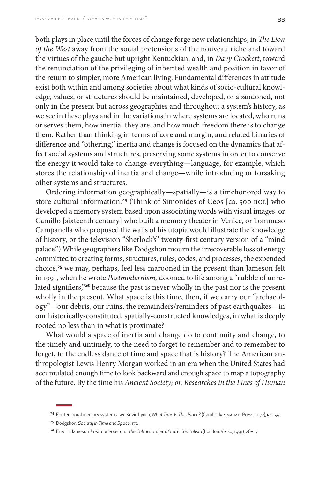both plays in place until the forces of change forge new relationships, in *The Lion of the West* away from the social pretensions of the nouveau riche and toward the virtues of the gauche but upright Kentuckian, and, in *Davy Crockett*, toward the renunciation of the privileging of inherited wealth and position in favor of the return to simpler, more American living. Fundamental differences in attitude exist both within and among societies about what kinds of socio-cultural knowledge, values, or structures should be maintained, developed, or abandoned, not only in the present but across geographies and throughout a system's history, as we see in these plays and in the variations in where systems are located, who runs or serves them, how inertial they are, and how much freedom there is to change them. Rather than thinking in terms of core and margin, and related binaries of difference and "othering," inertia and change is focused on the dynamics that affect social systems and structures, preserving some systems in order to conserve the energy it would take to change everything—language, for example, which stores the relationship of inertia and change—while introducing or forsaking other systems and structures.

Ordering information geographically—spatially—is a timehonored way to store cultural information.**24** (Think of Simonides of Ceos [ca. 500 BCE] who developed a memory system based upon associating words with visual images, or Camillo [sixteenth century] who built a memory theater in Venice, or Tommaso Campanella who proposed the walls of his utopia would illustrate the knowledge of history, or the television "Sherlock's" twenty-first century version of a "mind palace.") While geographers like Dodgshon mourn the irrecoverable loss of energy committed to creating forms, structures, rules, codes, and processes, the expended choice,**25** we may, perhaps, feel less marooned in the present than Jameson felt in 1991, when he wrote *Postmodernism,* doomed to life among a "rubble of unrelated signifiers,"**26** because the past is never wholly in the past nor is the present wholly in the present. What space is this time, then, if we carry our "archaeology"—our debris, our ruins, the remainders/reminders of past earthquakes—in our historically-constituted, spatially-constructed knowledges, in what is deeply rooted no less than in what is proximate?

What would a space of inertia and change do to continuity and change, to the timely and untimely, to the need to forget to remember and to remember to forget, to the endless dance of time and space that is history? The American anthropologist Lewis Henry Morgan worked in an era when the United States had accumulated enough time to look backward and enough space to map a topography of the future. By the time his *Ancient Society; or, Researches in the Lines of Human* 

<sup>24</sup> For temporal memory systems, see Kevin Lynch, *What Time Is This Place?* (Cambridge, MA: MIT Press, 1972), 54–55.

<sup>25</sup> Dodgshon, *Society in Time and Space*, 177.

<sup>26</sup> Fredric Jameson, *Postmodernism, or the Cultural Logic of Late Capitalism* (London: Verso, 1991), 26–27.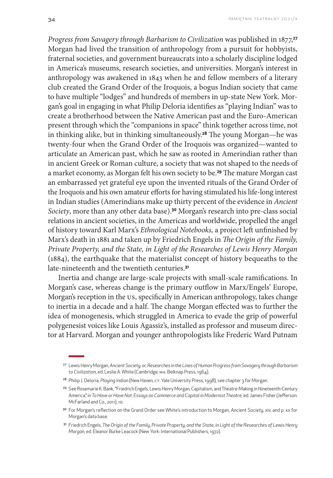*Progress from Savagery through Barbarism to Civilization* was published in 1877,**<sup>27</sup>** Morgan had lived the transition of anthropology from a pursuit for hobbyists, fraternal societies, and government bureaucrats into a scholarly discipline lodged in America's museums, research societies, and universities. Morgan's interest in anthropology was awakened in 1843 when he and fellow members of a literary club created the Grand Order of the Iroquois, a bogus Indian society that came to have multiple "lodges" and hundreds of members in up-state New York. Morgan's goal in engaging in what Philip Deloria identifies as "playing Indian" was to create a brotherhood between the Native American past and the Euro-American present through which the "companions in space" think together across time, not in thinking alike, but in thinking simultaneously.**28** The young Morgan—he was twenty-four when the Grand Order of the Iroquois was organized—wanted to articulate an American past, which he saw as rooted in Amerindian rather than in ancient Greek or Roman culture, a society that was not shaped to the needs of a market economy, as Morgan felt his own society to be.**29** The mature Morgan cast an embarrassed yet grateful eye upon the invented rituals of the Grand Order of the Iroquois and his own amateur efforts for having stimulated his life-long interest in Indian studies (Amerindians make up thirty percent of the evidence in *Ancient Society*, more than any other data base).**30** Morgan's research into pre-class social relations in ancient societies, in the Americas and worldwide, propelled the angel of history toward Karl Marx's *Ethnological Notebooks,* a project left unfinished by Marx's death in 1881 and taken up by Friedrich Engels in *The Origin of the Family, Private Property, and the State, in Light of the Researches of Lewis Henry Morgan* (1884), the earthquake that the materialist concept of history bequeaths to the late-nineteenth and the twentieth centuries.**<sup>31</sup>**

Inertia and change are large-scale projects with small-scale ramifications. In Morgan's case, whereas change is the primary outflow in Marx/Engels' Europe, Morgan's reception in the US, specifically in American anthropology, takes change to inertia in a decade and a half. The change Morgan effected was to further the idea of monogenesis, which struggled in America to evade the grip of powerful polygenesist voices like Louis Agassiz's, installed as professor and museum director at Harvard. Morgan and younger anthropologists like Frederic Ward Putnam

<sup>27</sup> Lewis Henry Morgan, *Ancient Society; or, Researches in the Lines of Human Progress from Savagery through Barbarism to Civilization,* ed. Leslie A. White (Cambridge, MA: Belknap Press, 1964).

<sup>28</sup> Philip J. Deloria, *Playing Indian* (New Haven, CT: Yale University Press, 1998), see chapter 3 for Morgan.

<sup>&</sup>lt;sup>29</sup> See Rosemarie K. Bank, "Friedrich Engels, Lewis Henry Morgan, Capitalism, and Theatre-Making in Nineteenth-Century America," in *To Have or Have Not: Essays on Commerce and Capital in Modernist Theatre,* ed. James Fisher (Jefferson: McFarland and Co., 2011), 10.

<sup>30</sup> For Morgan's reflection on the Grand Order see White's introduction to Morgan, *Ancient Society,* xiv, and p. xx for Morgan's data base.

<sup>31</sup> Friedrich Engels, *The Origin of the Family*, *Private Property, and the State, in Light of the Researches of Lewis Henry Morgan*, ed. Eleanor Burke Leacock (New York: International Publishers, 1972).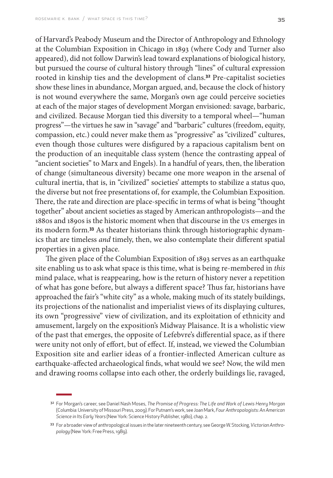of Harvard's Peabody Museum and the Director of Anthropology and Ethnology at the Columbian Exposition in Chicago in 1893 (where Cody and Turner also appeared), did not follow Darwin's lead toward explanations of biological history, but pursued the course of cultural history through "lines" of cultural expression rooted in kinship ties and the development of clans.**32** Pre-capitalist societies show these lines in abundance, Morgan argued, and, because the clock of history is not wound everywhere the same, Morgan's own age could perceive societies at each of the major stages of development Morgan envisioned: savage, barbaric, and civilized. Because Morgan tied this diversity to a temporal wheel—"human progress"—the virtues he saw in "savage" and "barbaric" cultures (freedom, equity, compassion, etc.) could never make them as "progressive" as "civilized" cultures, even though those cultures were disfigured by a rapacious capitalism bent on the production of an inequitable class system (hence the contrasting appeal of "ancient societies" to Marx and Engels). In a handful of years, then, the liberation of change (simultaneous diversity) became one more weapon in the arsenal of cultural inertia, that is, in "civilized" societies' attempts to stabilize a status quo, the diverse but not free presentations of, for example, the Columbian Exposition. There, the rate and direction are place-specific in terms of what is being "thought together" about ancient societies as staged by American anthropologists—and the 1880s and 1890s is the historic moment when that discourse in the US emerges in its modern form.**33** As theater historians think through historiographic dynamics that are timeless *and* timely, then, we also contemplate their different spatial properties in a given place.

The given place of the Columbian Exposition of 1893 serves as an earthquake site enabling us to ask what space is this time, what is being re-membered in *this* mind palace, what is reappearing, how is the return of history never a repetition of what has gone before, but always a different space? Thus far, historians have approached the fair's "white city" as a whole, making much of its stately buildings, its projections of the nationalist and imperialist views of its displaying cultures, its own "progressive" view of civilization, and its exploitation of ethnicity and amusement, largely on the exposition's Midway Plaisance. It is a wholistic view of the past that emerges, the opposite of Lefebvre's differential space, as if there were unity not only of effort, but of effect. If, instead, we viewed the Columbian Exposition site and earlier ideas of a frontier-inflected American culture as earthquake-affected archaeological finds, what would we see? Now, the wild men and drawing rooms collapse into each other, the orderly buildings lie, ravaged,

<sup>32</sup> For Morgan's career, see Daniel Nash Moses, *The Promise of Progress: The Life and Work of Lewis Henry Morgan* (Columbia: University of Missouri Press, 2009). For Putnam's work, see Joan Mark, *Four Anthropologists: An American Science in Its Early Years* (New York: Science History Publisher, 1980), chap. 2.

<sup>33</sup> For a broader view of anthropological issues in the later nineteenth century, see George W. Stocking, *Victorian Anthropology* (New York: Free Press, 1989).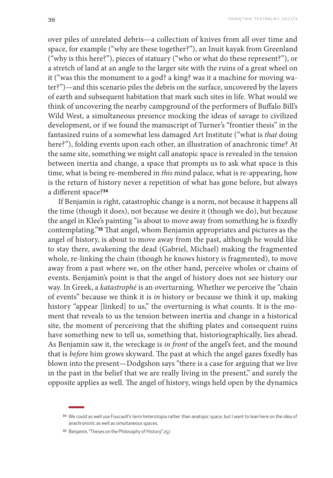over piles of unrelated debris—a collection of knives from all over time and space, for example ("why are these together?"), an Inuit kayak from Greenland ("why is this here?"), pieces of statuary ("who or what do these represent?"), or a stretch of land at an angle to the larger site with the ruins of a great wheel on it ("was this the monument to a god? a king? was it a machine for moving water?")—and this scenario piles the debris on the surface, uncovered by the layers of earth and subsequent habitation that mark such sites in life. What would we think of uncovering the nearby campground of the performers of Buffalo Bill's Wild West, a simultaneous presence mocking the ideas of savage to civilized development, or if we found the manuscript of Turner's "frontier thesis" in the fantasized ruins of a somewhat less damaged Art Institute ("what is *that* doing here?"), folding events upon each other, an illustration of anachronic time? At the same site, something we might call anatopic space is revealed in the tension between inertia and change, a space that prompts us to ask what space is this time, what is being re-membered in *this* mind palace, what is re-appearing, how is the return of history never a repetition of what has gone before, but always a different space?**<sup>34</sup>**

If Benjamin is right, catastrophic change is a norm, not because it happens all the time (though it does), not because we desire it (though we do), but because the angel in Klee's painting "is about to move away from something he is fixedly contemplating."**35** That angel, whom Benjamin appropriates and pictures as the angel of history, is about to move away from the past, although he would like to stay there, awakening the dead (Gabriel, Michael) making the fragmented whole, re-linking the chain (though he knows history is fragmented), to move away from a past where we, on the other hand, perceive wholes or chains of events. Benjamin's point is that the angel of history does not see history our way. In Greek, a *katastrophé* is an overturning. Whether we perceive the "chain of events" because we think it is *in* history or because we think it up, making history "appear [linked] to us," the overturning is what counts. It is the moment that reveals to us the tension between inertia and change in a historical site, the moment of perceiving that the shifting plates and consequent ruins have something new to tell us, something that, historiographically, lies ahead. As Benjamin saw it, the wreckage is *in front* of the angel's feet, and the mound that is *before* him grows skyward. The past at which the angel gazes fixedly has blown into the present—Dodgshon says "there is a case for arguing that we live in the past in the belief that we are really living in the present," and surely the opposite applies as well. The angel of history, wings held open by the dynamics

<sup>34</sup> We could as well use Foucault's term heterotopia rather than anatopic space, but I want to lean here on the idea of anachronistic as well as simultaneous spaces.

<sup>35</sup> Benjamin, "Theses on the Philosophy of History," 257.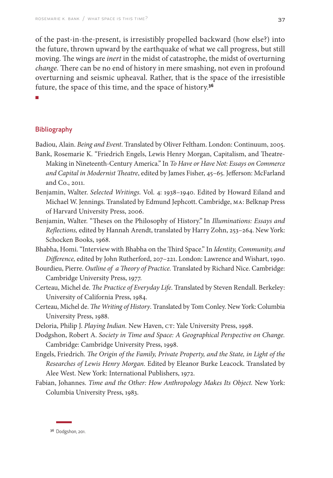of the past-in-the-present, is irresistibly propelled backward (how else?) into the future, thrown upward by the earthquake of what we call progress, but still moving. The wings are *inert* in the midst of catastrophe, the midst of overturning *change.* There can be no end of history in mere smashing, not even in profound overturning and seismic upheaval. Rather, that is the space of the irresistible future, the space of this time, and the space of history.**<sup>36</sup>**

■

#### Bibliography

Badiou, Alain. *Being and Event*. Translated by Oliver Feltham. London: Continuum, 2005. Bank, Rosemarie K. "Friedrich Engels, Lewis Henry Morgan, Capitalism, and Theatre-Making in Nineteenth-Century America." In *To Have or Have Not: Essays on Commerce* 

- *and Capital in Modernist Theatre*, edited by James Fisher, 45–65. Jefferson: McFarland and Co., 2011.
- Benjamin, Walter. *Selected Writings.* Vol. 4: 1938–1940. Edited by Howard Eiland and Michael W. Jennings. Translated by Edmund Jephcott. Cambridge, MA: Belknap Press of Harvard University Press, 2006.
- Benjamin, Walter. "Theses on the Philosophy of History." In *Illuminations: Essays and Reflections,* edited by Hannah Arendt, translated by Harry Zohn, 253–264. New York: Schocken Books, 1968.
- Bhabha, Homi. "Interview with Bhabha on the Third Space." In *Identity, Community, and Difference,* edited by John Rutherford, 207–221. London: Lawrence and Wishart, 1990.
- Bourdieu, Pierre. *Outline of a Theory of Practice.* Translated by Richard Nice. Cambridge: Cambridge University Press, 1977.
- Certeau, Michel de. *The Practice of Everyday Life*. Translated by Steven Rendall. Berkeley: University of California Press, 1984.
- Certeau, Michel de. *The Writing of History*. Translated by Tom Conley. New York: Columbia University Press, 1988.
- Deloria, Philip J. *Playing Indian.* New Haven, CT: Yale University Press, 1998.
- Dodgshon, Robert A. *Society in Time and Space: A Geographical Perspective on Change.* Cambridge: Cambridge University Press, 1998.
- Engels, Friedrich. *The Origin of the Family, Private Property, and the State, in Light of the Researches of Lewis Henry Morgan.* Edited by Eleanor Burke Leacock. Translated by Alee West. New York: International Publishers, 1972.
- Fabian, Johannes. *Time and the Other: How Anthropology Makes Its Object.* New York: Columbia University Press, 1983.

<sup>36</sup> Dodgshon, 201.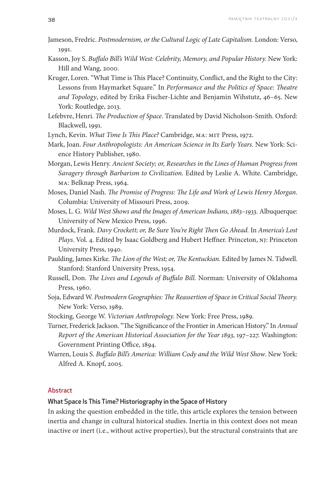- Jameson, Fredric. *Postmodernism, or the Cultural Logic of Late Capitalism.* London: Verso, 1991.
- Kasson, Joy S. *Buffalo Bill's Wild West: Celebrity, Memory, and Popular History.* New York: Hill and Wang, 2000.
- Kruger, Loren. "What Time is This Place? Continuity, Conflict, and the Right to the City: Lessons from Haymarket Square." In *Performance and the Politics of Space: Theatre and Topology*, edited by Erika Fischer-Lichte and Benjamin Wihstutz, 46–65. New York: Routledge, 2013.
- Lefebvre, Henri. *The Production of Space*. Translated by David Nicholson-Smith. Oxford: Blackwell, 1991.
- Lynch, Kevin. *What Time Is This Place?* Cambridge, MA: MIT Press, 1972.
- Mark, Joan. *Four Anthropologists: An American Science in Its Early Years.* New York: Science History Publisher, 1980.
- Morgan, Lewis Henry. *Ancient Society; or, Researches in the Lines of Human Progress from Savagery through Barbarism to Civilization.* Edited by Leslie A. White. Cambridge, MA: Belknap Press, 1964.
- Moses, Daniel Nash. *The Promise of Progress: The Life and Work of Lewis Henry Morgan*. Columbia: University of Missouri Press, 2009.
- Moses, L. G. *Wild West Shows and the Images of American Indians, 1883–1933.* Albuquerque: University of New Mexico Press, 1996.
- Murdock, Frank. *Davy Crockett; or, Be Sure You're Right Then Go Ahead.* In *America's Lost Plays.* Vol. 4. Edited by Isaac Goldberg and Hubert Heffner. Princeton, NJ: Princeton University Press, 1940.
- Paulding, James Kirke. *The Lion of the West; or, The Kentuckian.* Edited by James N. Tidwell. Stanford: Stanford University Press, 1954.
- Russell, Don. *The Lives and Legends of Buffalo Bill.* Norman: University of Oklahoma Press, 1960.
- Soja, Edward W. *Postmodern Geographies: The Reassertion of Space in Critical Social Theory.* New York: Verso, 1989.
- Stocking, George W. *Victorian Anthropology.* New York: Free Press, 1989.
- Turner, Frederick Jackson. "The Significance of the Frontier in American History." In *Annual Report of the American Historical Association for the Year 1893,* 197–227. Washington: Government Printing Office, 1894.
- Warren, Louis S. *Buffalo Bill's America: William Cody and the Wild West Show*. New York: Alfred A. Knopf, 2005.

## **Abstract**

# What Space Is This Time? Historiography in the Space of History

In asking the question embedded in the title, this article explores the tension between inertia and change in cultural historical studies. Inertia in this context does not mean inactive or inert (i.e., without active properties), but the structural constraints that are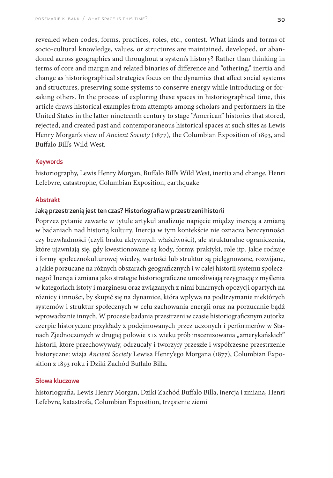revealed when codes, forms, practices, roles, etc., contest. What kinds and forms of socio-cultural knowledge, values, or structures are maintained, developed, or abandoned across geographies and throughout a system's history? Rather than thinking in terms of core and margin and related binaries of difference and "othering," inertia and change as historiographical strategies focus on the dynamics that affect social systems and structures, preserving some systems to conserve energy while introducing or forsaking others. In the process of exploring these spaces in historiographical time, this article draws historical examples from attempts among scholars and performers in the United States in the latter nineteenth century to stage "American" histories that stored, rejected, and created past and contemporaneous historical spaces at such sites as Lewis Henry Morgan's view of *Ancient Society* (1877), the Columbian Exposition of 1893, and Buffalo Bill's Wild West.

# Keywords

historiography, Lewis Henry Morgan, Buffalo Bill's Wild West, inertia and change, Henri Lefebvre, catastrophe, Columbian Exposition, earthquake

#### Abstrakt

## Jaką przestrzenią jest ten czas? Historiografia w przestrzeni historii

Poprzez pytanie zawarte w tytule artykuł analizuje napięcie między inercją a zmianą w badaniach nad historią kultury. Inercja w tym kontekście nie oznacza bezczynności czy bezwładności (czyli braku aktywnych właściwości), ale strukturalne ograniczenia, które ujawniają się, gdy kwestionowane są kody, formy, praktyki, role itp. Jakie rodzaje i formy społecznokulturowej wiedzy, wartości lub struktur są pielęgnowane, rozwijane, a jakie porzucane na różnych obszarach geograficznych i w całej historii systemu społecznego? Inercja i zmiana jako strategie historiograficzne umożliwiają rezygnację z myślenia w kategoriach istoty i marginesu oraz związanych z nimi binarnych opozycji opartych na różnicy i inności, by skupić się na dynamice, która wpływa na podtrzymanie niektórych systemów i struktur społecznych w celu zachowania energii oraz na porzucanie bądź wprowadzanie innych. W procesie badania przestrzeni w czasie historiograficznym autorka czerpie historyczne przykłady z podejmowanych przez uczonych i performerów w Stanach Zjednoczonych w drugiej połowie XIX wieku prób inscenizowania "amerykańskich" historii, które przechowywały, odrzucały i tworzyły przeszłe i współczesne przestrzenie historyczne: wizja *Ancient Society* Lewisa Henry'ego Morgana (1877), Columbian Exposition z 1893 roku i Dziki Zachód Buffalo Billa.

# Słowa kluczowe

historiografia, Lewis Henry Morgan, Dziki Zachód Buffalo Billa, inercja i zmiana, Henri Lefebvre, katastrofa, Columbian Exposition, trzęsienie ziemi